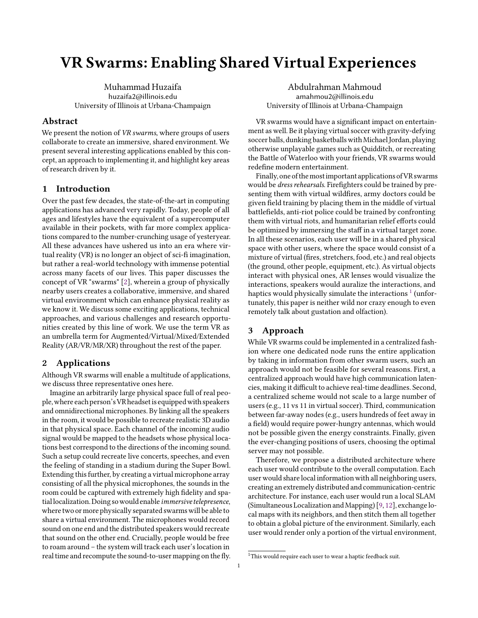# VR Swarms: Enabling Shared Virtual Experiences

Muhammad Huzaifa huzaifa2@illinois.edu University of Illinois at Urbana-Champaign

### Abstract

We present the notion of VR swarms, where groups of users collaborate to create an immersive, shared environment. We present several interesting applications enabled by this concept, an approach to implementing it, and highlight key areas of research driven by it.

# 1 Introduction

Over the past few decades, the state-of-the-art in computing applications has advanced very rapidly. Today, people of all ages and lifestyles have the equivalent of a supercomputer available in their pockets, with far more complex applications compared to the number-crunching usage of yesteryear. All these advances have ushered us into an era where virtual reality (VR) is no longer an object of sci-fi imagination, but rather a real-world technology with immense potential across many facets of our lives. This paper discusses the concept of VR "swarms" [\[2\]](#page-2-0), wherein a group of physically nearby users creates a collaborative, immersive, and shared virtual environment which can enhance physical reality as we know it. We discuss some exciting applications, technical approaches, and various challenges and research opportunities created by this line of work. We use the term VR as an umbrella term for Augmented/Virtual/Mixed/Extended Reality (AR/VR/MR/XR) throughout the rest of the paper.

#### 2 Applications

Although VR swarms will enable a multitude of applications, we discuss three representative ones here.

Imagine an arbitrarily large physical space full of real people,where each person'sVR headsetis equippedwith speakers and omnidirectional microphones. By linking all the speakers in the room, it would be possible to recreate realistic 3D audio in that physical space. Each channel of the incoming audio signal would be mapped to the headsets whose physical locations best correspond to the directions of the incoming sound. Such a setup could recreate live concerts, speeches, and even the feeling of standing in a stadium during the Super Bowl. Extending this further, by creating a virtual microphone array consisting of all the physical microphones, the sounds in the room could be captured with extremely high fidelity and spatiallocalization. Doing sowould enable immersive telepresence, where two or more physically separated swarms will be able to share a virtual environment. The microphones would record sound on one end and the distributed speakers would recreate that sound on the other end. Crucially, people would be free to roam around – the system will track each user's location in real time and recompute the sound-to-user mapping on the fly.

Abdulrahman Mahmoud amahmou2@illinois.edu University of Illinois at Urbana-Champaign

VR swarms would have a significant impact on entertainment as well. Be it playing virtual soccer with gravity-defying soccer balls, dunking basketballs with Michael Jordan, playing otherwise unplayable games such as Quidditch, or recreating the Battle of Waterloo with your friends, VR swarms would redefine modern entertainment.

Finally, one of the most important applications of VR swarms would be dress rehearsals. Firefighters could be trained by presenting them with virtual wildfires, army doctors could be given field training by placing them in the middle of virtual battlefields, anti-riot police could be trained by confronting them with virtual riots, and humanitarian relief efforts could be optimized by immersing the staff in a virtual target zone. In all these scenarios, each user will be in a shared physical space with other users, where the space would consist of a mixture of virtual (fires, stretchers, food, etc.) and real objects (the ground, other people, equipment, etc.). As virtual objects interact with physical ones, AR lenses would visualize the interactions, speakers would auralize the interactions, and haptics would physically simulate the interactions  $^1$  $^1$  (unfortunately, this paper is neither wild nor crazy enough to even remotely talk about gustation and olfaction).

#### 3 Approach

While VR swarms could be implemented in a centralized fashion where one dedicated node runs the entire application by taking in information from other swarm users, such an approach would not be feasible for several reasons. First, a centralized approach would have high communication latencies, making it difficult to achieve real-time deadlines. Second, a centralized scheme would not scale to a large number of users (e.g., 11 vs 11 in virtual soccer). Third, communication between far-away nodes (e.g., users hundreds of feet away in a field) would require power-hungry antennas, which would not be possible given the energy constraints. Finally, given the ever-changing positions of users, choosing the optimal server may not possible.

Therefore, we propose a distributed architecture where each user would contribute to the overall computation. Each user would share local information with all neighboring users, creating an extremely distributed and communication-centric architecture. For instance, each user would run a local SLAM (Simultaneous Localization and Mapping) [\[9,](#page-2-1) [12\]](#page-2-2), exchange local maps with its neighbors, and then stitch them all together to obtain a global picture of the environment. Similarly, each user would render only a portion of the virtual environment,

<span id="page-0-0"></span><sup>&</sup>lt;sup>1</sup>This would require each user to wear a haptic feedback suit.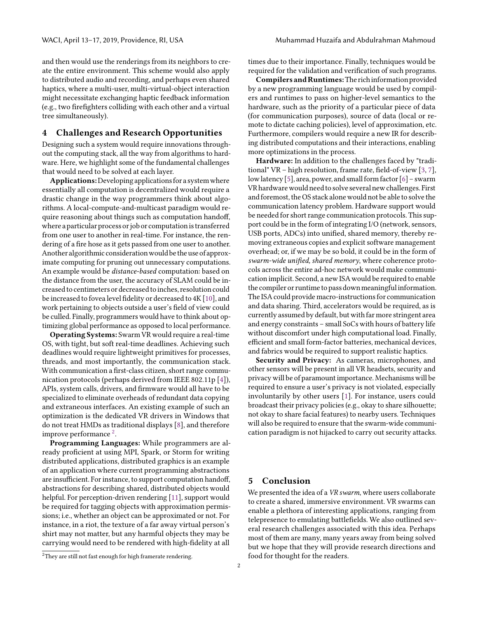and then would use the renderings from its neighbors to create the entire environment. This scheme would also apply to distributed audio and recording, and perhaps even shared haptics, where a multi-user, multi-virtual-object interaction might necessitate exchanging haptic feedback information (e.g., two firefighters colliding with each other and a virtual tree simultaneously).

### 4 Challenges and Research Opportunities

Designing such a system would require innovations throughout the computing stack, all the way from algorithms to hardware. Here, we highlight some of the fundamental challenges that would need to be solved at each layer.

Applications:Developing applications for a system where essentially all computation is decentralized would require a drastic change in the way programmers think about algorithms. A local-compute-and-multicast paradigm would require reasoning about things such as computation handoff, where a particular process or job or computation is transferred from one user to another in real-time. For instance, the rendering of a fire hose as it gets passed from one user to another. Another algorithmic consideration would be the use of approximate computing for pruning out unnecessary computations. An example would be distance-based computation: based on the distance from the user, the accuracy of SLAM could be increased to centimeters or decreased toinches, resolution could be increased to fovea level fidelity or decreased to 4K [\[10\]](#page-2-3), and work pertaining to objects outside a user's field of view could be culled. Finally, programmers would have to think about optimizing global performance as opposed to local performance.

Operating Systems: Swarm VR would require a real-time OS, with tight, but soft real-time deadlines. Achieving such deadlines would require lightweight primitives for processes, threads, and most importantly, the communication stack. With communication a first-class citizen, short range communication protocols (perhaps derived from IEEE 802.11p [\[4\]](#page-2-4)), APIs, system calls, drivers, and firmware would all have to be specialized to eliminate overheads of redundant data copying and extraneous interfaces. An existing example of such an optimization is the dedicated VR drivers in Windows that do not treat HMDs as traditional displays [\[8\]](#page-2-5), and therefore improve performance  $^2$  $^2$ .

Programming Languages: While programmers are already proficient at using MPI, Spark, or Storm for writing distributed applications, distributed graphics is an example of an application where current programming abstractions are insufficient. For instance, to support computation handoff, abstractions for describing shared, distributed objects would helpful. For perception-driven rendering [\[11\]](#page-2-6), support would be required for tagging objects with approximation permissions; i.e., whether an object can be approximated or not. For instance, in a riot, the texture of a far away virtual person's shirt may not matter, but any harmful objects they may be carrying would need to be rendered with high-fidelity at all

<span id="page-1-0"></span><sup>2</sup>They are still not fast enough for high framerate rendering.

times due to their importance. Finally, techniques would be required for the validation and verification of such programs.

Compilers andRuntimes:The richinformation provided by a new programming language would be used by compilers and runtimes to pass on higher-level semantics to the hardware, such as the priority of a particular piece of data (for communication purposes), source of data (local or remote to dictate caching policies), level of approximation, etc. Furthermore, compilers would require a new IR for describing distributed computations and their interactions, enabling more optimizations in the process.

Hardware: In addition to the challenges faced by "traditional" VR – high resolution, frame rate, field-of-view [\[3,](#page-2-7) [7\]](#page-2-8), low latency [\[5\]](#page-2-9), area, power, and small form factor [\[6\]](#page-2-10) – swarm VR hardware would need to solve several new challenges. First and foremost, the OS stack alone would not be able to solve the communication latency problem. Hardware support would be needed for short range communication protocols. This support could be in the form of integrating I/O (network, sensors, USB ports, ADCs) into unified, shared memory, thereby removing extraneous copies and explicit software management overhead; or, if we may be so bold, it could be in the form of swarm-wide unified, shared memory, where coherence protocols across the entire ad-hoc network would make communication implicit. Second, a new ISA would be required to enable the compiler or runtime to pass down meaningful information. The ISA could provide macro-instructions for communication and data sharing. Third, accelerators would be required, as is currently assumed by default, but with far more stringent area and energy constraints – small SoCs with hours of battery life without discomfort under high computational load. Finally, efficient and small form-factor batteries, mechanical devices, and fabrics would be required to support realistic haptics.

Security and Privacy: As cameras, microphones, and other sensors will be present in all VR headsets, security and privacy will be of paramount importance. Mechanisms will be required to ensure a user's privacy is not violated, especially involuntarily by other users [\[1\]](#page-2-11). For instance, users could broadcast their privacy policies (e.g., okay to share silhouette; not okay to share facial features) to nearby users. Techniques will also be required to ensure that the swarm-wide communication paradigm is not hijacked to carry out security attacks.

# 5 Conclusion

We presented the idea of a VR swarm, where users collaborate to create a shared, immersive environment. VR swarms can enable a plethora of interesting applications, ranging from telepresence to emulating battlefields. We also outlined several research challenges associated with this idea. Perhaps most of them are many, many years away from being solved but we hope that they will provide research directions and food for thought for the readers.